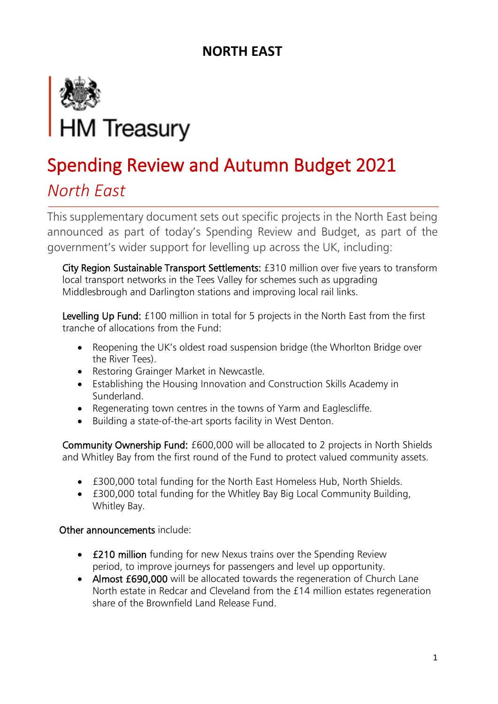

### *North East*

This supplementary document sets out specific projects in the North East being announced as part of today's Spending Review and Budget, as part of the government's wider support for levelling up across the UK, including:

City Region Sustainable Transport Settlements: £310 million over five years to transform local transport networks in the Tees Valley for schemes such as upgrading Middlesbrough and Darlington stations and improving local rail links.

Levelling Up Fund: £100 million in total for 5 projects in the North East from the first tranche of allocations from the Fund:

- Reopening the UK's oldest road suspension bridge (the Whorlton Bridge over the River Tees).
- Restoring Grainger Market in Newcastle.
- Establishing the Housing Innovation and Construction Skills Academy in Sunderland.
- Regenerating town centres in the towns of Yarm and Eaglescliffe.
- Building a state-of-the-art sports facility in West Denton.

Community Ownership Fund: £600,000 will be allocated to 2 projects in North Shields and Whitley Bay from the first round of the Fund to protect valued community assets.

- £300,000 total funding for the North East Homeless Hub, North Shields.
- £300,000 total funding for the Whitley Bay Big Local Community Building, Whitley Bay.

- **£210 million** funding for new Nexus trains over the Spending Review period, to improve journeys for passengers and level up opportunity.
- Almost £690,000 will be allocated towards the regeneration of Church Lane North estate in Redcar and Cleveland from the £14 million estates regeneration share of the Brownfield Land Release Fund.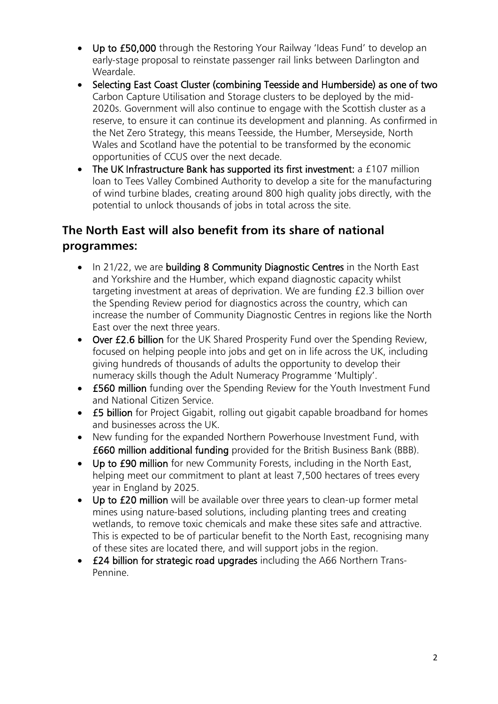- Up to £50,000 through the Restoring Your Railway 'Ideas Fund' to develop an early-stage proposal to reinstate passenger rail links between Darlington and Weardale.
- Selecting East Coast Cluster (combining Teesside and Humberside) as one of two Carbon Capture Utilisation and Storage clusters to be deployed by the mid-2020s. Government will also continue to engage with the Scottish cluster as a reserve, to ensure it can continue its development and planning. As confirmed in the Net Zero Strategy, this means Teesside, the Humber, Merseyside, North Wales and Scotland have the potential to be transformed by the economic opportunities of CCUS over the next decade.
- The UK Infrastructure Bank has supported its first investment: a £107 million loan to Tees Valley Combined Authority to develop a site for the manufacturing of wind turbine blades, creating around 800 high quality jobs directly, with the potential to unlock thousands of jobs in total across the site.

### **The North East will also benefit from its share of national programmes:**

- In 21/22, we are building 8 Community Diagnostic Centres in the North East and Yorkshire and the Humber, which expand diagnostic capacity whilst targeting investment at areas of deprivation. We are funding £2.3 billion over the Spending Review period for diagnostics across the country, which can increase the number of Community Diagnostic Centres in regions like the North East over the next three years.
- Over £2.6 billion for the UK Shared Prosperity Fund over the Spending Review, focused on helping people into jobs and get on in life across the UK, including giving hundreds of thousands of adults the opportunity to develop their numeracy skills though the Adult Numeracy Programme 'Multiply'.
- £560 million funding over the Spending Review for the Youth Investment Fund and National Citizen Service.
- **£5 billion** for Project Gigabit, rolling out gigabit capable broadband for homes and businesses across the UK.
- New funding for the expanded Northern Powerhouse Investment Fund, with £660 million additional funding provided for the British Business Bank (BBB).
- Up to £90 million for new Community Forests, including in the North East, helping meet our commitment to plant at least 7,500 hectares of trees every year in England by 2025.
- Up to £20 million will be available over three years to clean-up former metal mines using nature-based solutions, including planting trees and creating wetlands, to remove toxic chemicals and make these sites safe and attractive. This is expected to be of particular benefit to the North East, recognising many of these sites are located there, and will support jobs in the region.
- £24 billion for strategic road upgrades including the A66 Northern Trans-Pennine.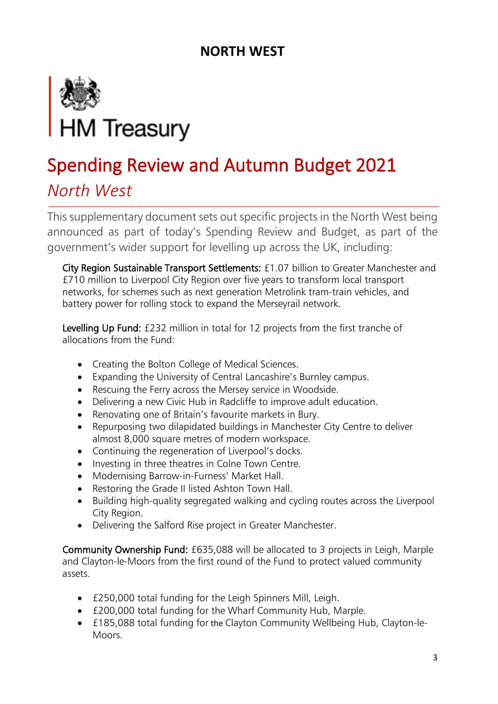

### *North West*

This supplementary document sets out specific projects in the North West being announced as part of today's Spending Review and Budget, as part of the government's wider support for levelling up across the UK, including:

City Region Sustainable Transport Settlements: £1.07 billion to Greater Manchester and £710 million to Liverpool City Region over five years to transform local transport networks, for schemes such as next generation Metrolink tram-train vehicles, and battery power for rolling stock to expand the Merseyrail network.

Levelling Up Fund: £232 million in total for 12 projects from the first tranche of allocations from the Fund:

- Creating the Bolton College of Medical Sciences.
- Expanding the University of Central Lancashire's Burnley campus.
- Rescuing the Ferry across the Mersey service in Woodside.
- Delivering a new Civic Hub in Radcliffe to improve adult education.
- Renovating one of Britain's favourite markets in Bury.
- Repurposing two dilapidated buildings in Manchester City Centre to deliver almost 8,000 square metres of modern workspace.
- Continuing the regeneration of Liverpool's docks.
- Investing in three theatres in Colne Town Centre.
- Modernising Barrow-in-Furness' Market Hall.
- Restoring the Grade II listed Ashton Town Hall.
- Building high-quality segregated walking and cycling routes across the Liverpool City Region.
- Delivering the Salford Rise project in Greater Manchester.

Community Ownership Fund: £635,088 will be allocated to 3 projects in Leigh, Marple and Clayton-le-Moors from the first round of the Fund to protect valued community assets.

- £250,000 total funding for the Leigh Spinners Mill, Leigh.
- £200,000 total funding for the Wharf Community Hub, Marple.
- £185,088 total funding for the Clayton Community Wellbeing Hub, Clayton-le-Moors.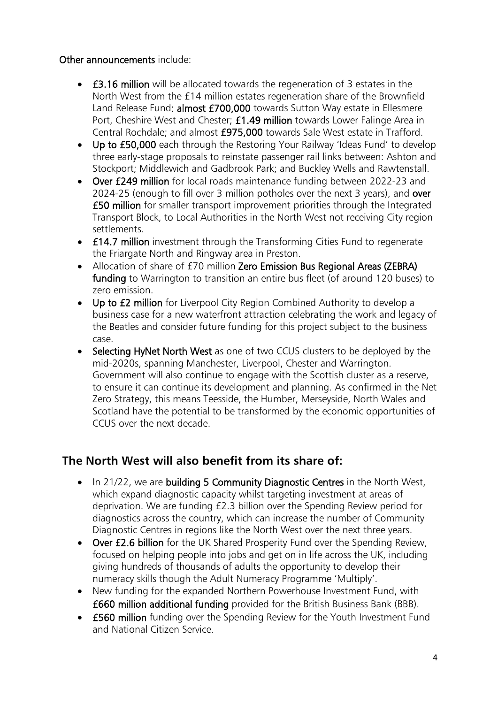#### Other announcements include:

- £3.16 million will be allocated towards the regeneration of 3 estates in the North West from the £14 million estates regeneration share of the Brownfield Land Release Fund: almost £700,000 towards Sutton Way estate in Ellesmere Port, Cheshire West and Chester; £1.49 million towards Lower Falinge Area in Central Rochdale; and almost £975,000 towards Sale West estate in Trafford.
- Up to £50,000 each through the Restoring Your Railway 'Ideas Fund' to develop three early-stage proposals to reinstate passenger rail links between: Ashton and Stockport; Middlewich and Gadbrook Park; and Buckley Wells and Rawtenstall.
- Over £249 million for local roads maintenance funding between 2022-23 and 2024-25 (enough to fill over 3 million potholes over the next 3 years), and over £50 million for smaller transport improvement priorities through the Integrated Transport Block, to Local Authorities in the North West not receiving City region settlements.
- **£14.7 million** investment through the Transforming Cities Fund to regenerate the Friargate North and Ringway area in Preston.
- Allocation of share of £70 million Zero Emission Bus Regional Areas (ZEBRA) funding to Warrington to transition an entire bus fleet (of around 120 buses) to zero emission.
- Up to £2 million for Liverpool City Region Combined Authority to develop a business case for a new waterfront attraction celebrating the work and legacy of the Beatles and consider future funding for this project subject to the business case.
- Selecting HyNet North West as one of two CCUS clusters to be deployed by the mid-2020s, spanning Manchester, Liverpool, Chester and Warrington. Government will also continue to engage with the Scottish cluster as a reserve, to ensure it can continue its development and planning. As confirmed in the Net Zero Strategy, this means Teesside, the Humber, Merseyside, North Wales and Scotland have the potential to be transformed by the economic opportunities of CCUS over the next decade.

### **The North West will also benefit from its share of:**

- In 21/22, we are building 5 Community Diagnostic Centres in the North West, which expand diagnostic capacity whilst targeting investment at areas of deprivation. We are funding £2.3 billion over the Spending Review period for diagnostics across the country, which can increase the number of Community Diagnostic Centres in regions like the North West over the next three years.
- Over £2.6 billion for the UK Shared Prosperity Fund over the Spending Review, focused on helping people into jobs and get on in life across the UK, including giving hundreds of thousands of adults the opportunity to develop their numeracy skills though the Adult Numeracy Programme 'Multiply'.
- New funding for the expanded Northern Powerhouse Investment Fund, with £660 million additional funding provided for the British Business Bank (BBB).
- £560 million funding over the Spending Review for the Youth Investment Fund and National Citizen Service.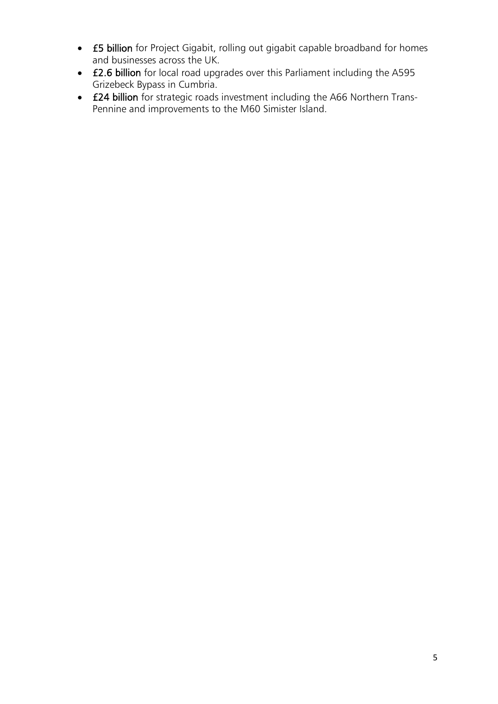- £5 billion for Project Gigabit, rolling out gigabit capable broadband for homes and businesses across the UK.
- £2.6 billion for local road upgrades over this Parliament including the A595 Grizebeck Bypass in Cumbria.
- £24 billion for strategic roads investment including the A66 Northern Trans-Pennine and improvements to the M60 Simister Island.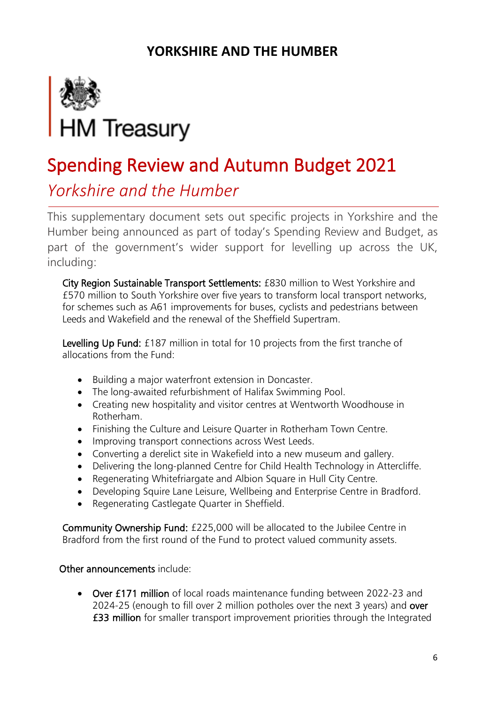### **YORKSHIRE AND THE HUMBER**



## Spending Review and Autumn Budget 2021

### *Yorkshire and the Humber*

This supplementary document sets out specific projects in Yorkshire and the Humber being announced as part of today's Spending Review and Budget, as part of the government's wider support for levelling up across the UK, including:

City Region Sustainable Transport Settlements: £830 million to West Yorkshire and £570 million to South Yorkshire over five years to transform local transport networks, for schemes such as A61 improvements for buses, cyclists and pedestrians between Leeds and Wakefield and the renewal of the Sheffield Supertram.

Levelling Up Fund: £187 million in total for 10 projects from the first tranche of allocations from the Fund:

- Building a major waterfront extension in Doncaster.
- The long-awaited refurbishment of Halifax Swimming Pool.
- Creating new hospitality and visitor centres at Wentworth Woodhouse in Rotherham.
- Finishing the Culture and Leisure Quarter in Rotherham Town Centre.
- Improving transport connections across West Leeds.
- Converting a derelict site in Wakefield into a new museum and gallery.
- Delivering the long-planned Centre for Child Health Technology in Attercliffe.
- Regenerating Whitefriargate and Albion Square in Hull City Centre.
- Developing Squire Lane Leisure, Wellbeing and Enterprise Centre in Bradford.
- Regenerating Castlegate Quarter in Sheffield.

Community Ownership Fund: £225,000 will be allocated to the Jubilee Centre in Bradford from the first round of the Fund to protect valued community assets.

### Other announcements include:

• Over £171 million of local roads maintenance funding between 2022-23 and 2024-25 (enough to fill over 2 million potholes over the next 3 years) and over £33 million for smaller transport improvement priorities through the Integrated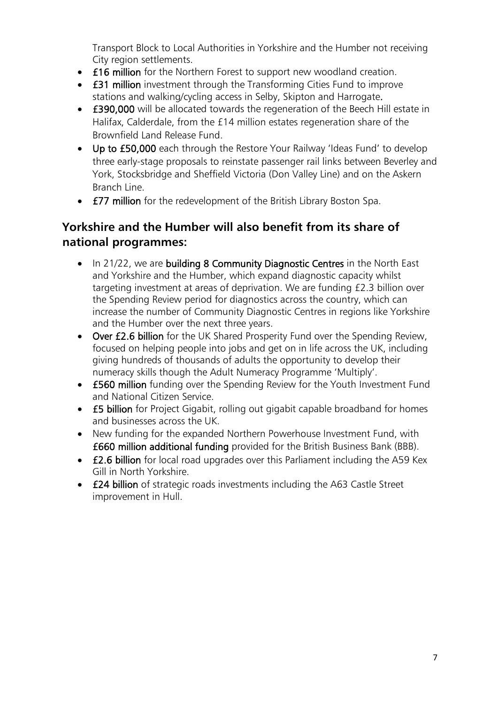Transport Block to Local Authorities in Yorkshire and the Humber not receiving City region settlements.

- £16 million for the Northern Forest to support new woodland creation.
- **£31 million** investment through the Transforming Cities Fund to improve stations and walking/cycling access in Selby, Skipton and Harrogate.
- £390,000 will be allocated towards the regeneration of the Beech Hill estate in Halifax, Calderdale, from the £14 million estates regeneration share of the Brownfield Land Release Fund.
- Up to £50,000 each through the Restore Your Railway 'Ideas Fund' to develop three early-stage proposals to reinstate passenger rail links between Beverley and York, Stocksbridge and Sheffield Victoria (Don Valley Line) and on the Askern Branch Line.
- **£77 million** for the redevelopment of the British Library Boston Spa.

### **Yorkshire and the Humber will also benefit from its share of national programmes:**

- In 21/22, we are building 8 Community Diagnostic Centres in the North East and Yorkshire and the Humber, which expand diagnostic capacity whilst targeting investment at areas of deprivation. We are funding £2.3 billion over the Spending Review period for diagnostics across the country, which can increase the number of Community Diagnostic Centres in regions like Yorkshire and the Humber over the next three years.
- Over £2.6 billion for the UK Shared Prosperity Fund over the Spending Review, focused on helping people into jobs and get on in life across the UK, including giving hundreds of thousands of adults the opportunity to develop their numeracy skills though the Adult Numeracy Programme 'Multiply'.
- £560 million funding over the Spending Review for the Youth Investment Fund and National Citizen Service.
- **£5 billion** for Project Gigabit, rolling out gigabit capable broadband for homes and businesses across the UK.
- New funding for the expanded Northern Powerhouse Investment Fund, with £660 million additional funding provided for the British Business Bank (BBB).
- **£2.6 billion** for local road upgrades over this Parliament including the A59 Kex Gill in North Yorkshire.
- £24 billion of strategic roads investments including the A63 Castle Street improvement in Hull.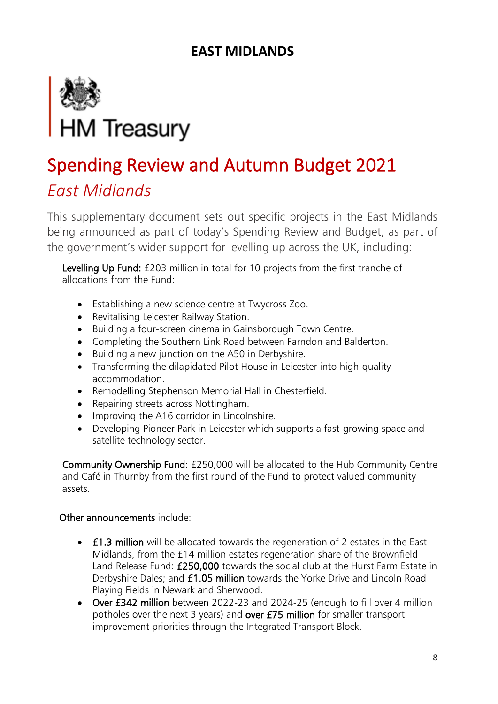

### *East Midlands*

This supplementary document sets out specific projects in the East Midlands being announced as part of today's Spending Review and Budget, as part of the government's wider support for levelling up across the UK, including:

Levelling Up Fund: £203 million in total for 10 projects from the first tranche of allocations from the Fund:

- Establishing a new science centre at Twycross Zoo.
- Revitalising Leicester Railway Station.
- Building a four-screen cinema in Gainsborough Town Centre.
- Completing the Southern Link Road between Farndon and Balderton.
- Building a new junction on the A50 in Derbyshire.
- Transforming the dilapidated Pilot House in Leicester into high-quality accommodation.
- Remodelling Stephenson Memorial Hall in Chesterfield.
- Repairing streets across Nottingham.
- Improving the A16 corridor in Lincolnshire.
- Developing Pioneer Park in Leicester which supports a fast-growing space and satellite technology sector.

Community Ownership Fund: £250,000 will be allocated to the Hub Community Centre and Café in Thurnby from the first round of the Fund to protect valued community assets.

- £1.3 million will be allocated towards the regeneration of 2 estates in the East Midlands, from the £14 million estates regeneration share of the Brownfield Land Release Fund: £250,000 towards the social club at the Hurst Farm Estate in Derbyshire Dales; and £1.05 million towards the Yorke Drive and Lincoln Road Playing Fields in Newark and Sherwood.
- Over £342 million between 2022-23 and 2024-25 (enough to fill over 4 million potholes over the next 3 years) and over £75 million for smaller transport improvement priorities through the Integrated Transport Block.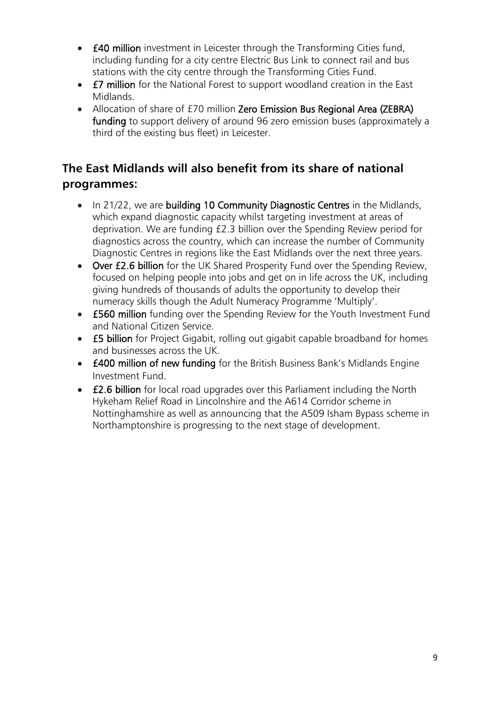- £40 million investment in Leicester through the Transforming Cities fund, including funding for a city centre Electric Bus Link to connect rail and bus stations with the city centre through the Transforming Cities Fund.
- £7 million for the National Forest to support woodland creation in the East Midlands.
- Allocation of share of £70 million Zero Emission Bus Regional Area (ZEBRA) funding to support delivery of around 96 zero emission buses (approximately a third of the existing bus fleet) in Leicester.

### **The East Midlands will also benefit from its share of national programmes:**

- In 21/22, we are building 10 Community Diagnostic Centres in the Midlands, which expand diagnostic capacity whilst targeting investment at areas of deprivation. We are funding £2.3 billion over the Spending Review period for diagnostics across the country, which can increase the number of Community Diagnostic Centres in regions like the East Midlands over the next three years.
- Over £2.6 billion for the UK Shared Prosperity Fund over the Spending Review, focused on helping people into jobs and get on in life across the UK, including giving hundreds of thousands of adults the opportunity to develop their numeracy skills though the Adult Numeracy Programme 'Multiply'.
- £560 million funding over the Spending Review for the Youth Investment Fund and National Citizen Service.
- **£5 billion** for Project Gigabit, rolling out gigabit capable broadband for homes and businesses across the UK.
- £400 million of new funding for the British Business Bank's Midlands Engine Investment Fund.
- £2.6 billion for local road upgrades over this Parliament including the North Hykeham Relief Road in Lincolnshire and the A614 Corridor scheme in Nottinghamshire as well as announcing that the A509 Isham Bypass scheme in Northamptonshire is progressing to the next stage of development.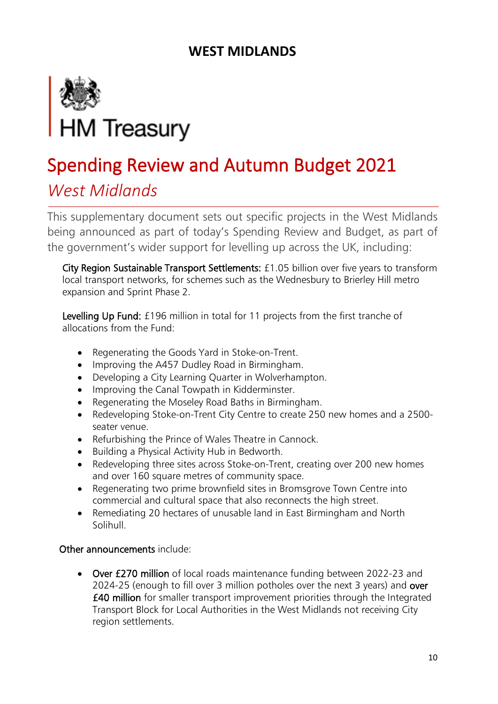

### *West Midlands*

This supplementary document sets out specific projects in the West Midlands being announced as part of today's Spending Review and Budget, as part of the government's wider support for levelling up across the UK, including:

City Region Sustainable Transport Settlements: £1.05 billion over five years to transform local transport networks, for schemes such as the Wednesbury to Brierley Hill metro expansion and Sprint Phase 2.

Levelling Up Fund: £196 million in total for 11 projects from the first tranche of allocations from the Fund:

- Regenerating the Goods Yard in Stoke-on-Trent.
- Improving the A457 Dudley Road in Birmingham.
- Developing a City Learning Quarter in Wolverhampton.
- Improving the Canal Towpath in Kidderminster.
- Regenerating the Moseley Road Baths in Birmingham.
- Redeveloping Stoke-on-Trent City Centre to create 250 new homes and a 2500 seater venue.
- Refurbishing the Prince of Wales Theatre in Cannock.
- Building a Physical Activity Hub in Bedworth.
- Redeveloping three sites across Stoke-on-Trent, creating over 200 new homes and over 160 square metres of community space.
- Regenerating two prime brownfield sites in Bromsgrove Town Centre into commercial and cultural space that also reconnects the high street.
- Remediating 20 hectares of unusable land in East Birmingham and North Solihull.

### Other announcements include:

• Over £270 million of local roads maintenance funding between 2022-23 and 2024-25 (enough to fill over 3 million potholes over the next 3 years) and over £40 million for smaller transport improvement priorities through the Integrated Transport Block for Local Authorities in the West Midlands not receiving City region settlements.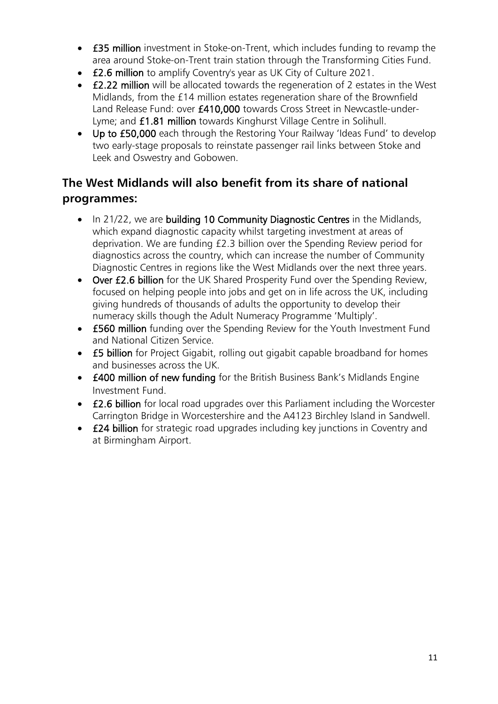- £35 million investment in Stoke-on-Trent, which includes funding to revamp the area around Stoke-on-Trent train station through the Transforming Cities Fund.
- £2.6 million to amplify Coventry's year as UK City of Culture 2021.
- £2.22 million will be allocated towards the regeneration of 2 estates in the West Midlands, from the £14 million estates regeneration share of the Brownfield Land Release Fund: over £410,000 towards Cross Street in Newcastle-under-Lyme; and £1.81 million towards Kinghurst Village Centre in Solihull.
- Up to £50,000 each through the Restoring Your Railway 'Ideas Fund' to develop two early-stage proposals to reinstate passenger rail links between Stoke and Leek and Oswestry and Gobowen.

### **The West Midlands will also benefit from its share of national programmes:**

- In 21/22, we are building 10 Community Diagnostic Centres in the Midlands, which expand diagnostic capacity whilst targeting investment at areas of deprivation. We are funding £2.3 billion over the Spending Review period for diagnostics across the country, which can increase the number of Community Diagnostic Centres in regions like the West Midlands over the next three years.
- Over £2.6 billion for the UK Shared Prosperity Fund over the Spending Review, focused on helping people into jobs and get on in life across the UK, including giving hundreds of thousands of adults the opportunity to develop their numeracy skills though the Adult Numeracy Programme 'Multiply'.
- £560 million funding over the Spending Review for the Youth Investment Fund and National Citizen Service.
- **£5 billion** for Project Gigabit, rolling out gigabit capable broadband for homes and businesses across the UK.
- £400 million of new funding for the British Business Bank's Midlands Engine Investment Fund.
- £2.6 billion for local road upgrades over this Parliament including the Worcester Carrington Bridge in Worcestershire and the A4123 Birchley Island in Sandwell.
- **£24 billion** for strategic road upgrades including key junctions in Coventry and at Birmingham Airport.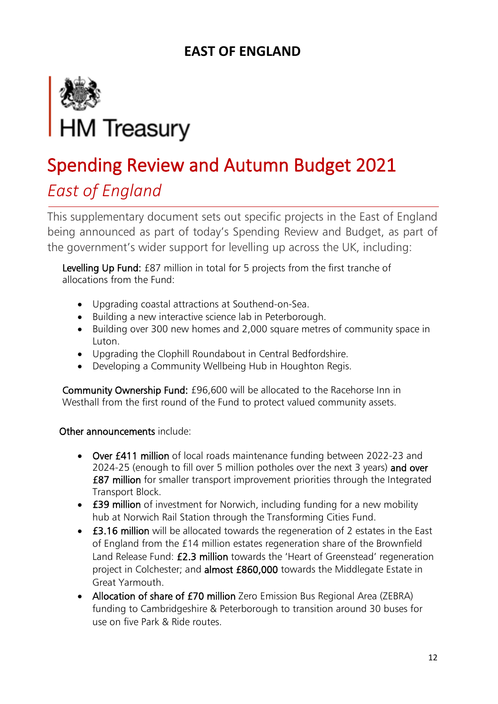

### *East of England*

This supplementary document sets out specific projects in the East of England being announced as part of today's Spending Review and Budget, as part of the government's wider support for levelling up across the UK, including:

Levelling Up Fund: £87 million in total for 5 projects from the first tranche of allocations from the Fund:

- Upgrading coastal attractions at Southend-on-Sea.
- Building a new interactive science lab in Peterborough.
- Building over 300 new homes and 2,000 square metres of community space in Luton.
- Upgrading the Clophill Roundabout in Central Bedfordshire.
- Developing a Community Wellbeing Hub in Houghton Regis.

Community Ownership Fund: £96,600 will be allocated to the Racehorse Inn in Westhall from the first round of the Fund to protect valued community assets.

- Over £411 million of local roads maintenance funding between 2022-23 and 2024-25 (enough to fill over 5 million potholes over the next 3 years) and over £87 million for smaller transport improvement priorities through the Integrated Transport Block.
- **£39 million** of investment for Norwich, including funding for a new mobility hub at Norwich Rail Station through the Transforming Cities Fund.
- £3.16 million will be allocated towards the regeneration of 2 estates in the East of England from the £14 million estates regeneration share of the Brownfield Land Release Fund: £2.3 million towards the 'Heart of Greenstead' regeneration project in Colchester; and almost £860,000 towards the Middlegate Estate in Great Yarmouth.
- Allocation of share of £70 million Zero Emission Bus Regional Area (ZEBRA) funding to Cambridgeshire & Peterborough to transition around 30 buses for use on five Park & Ride routes.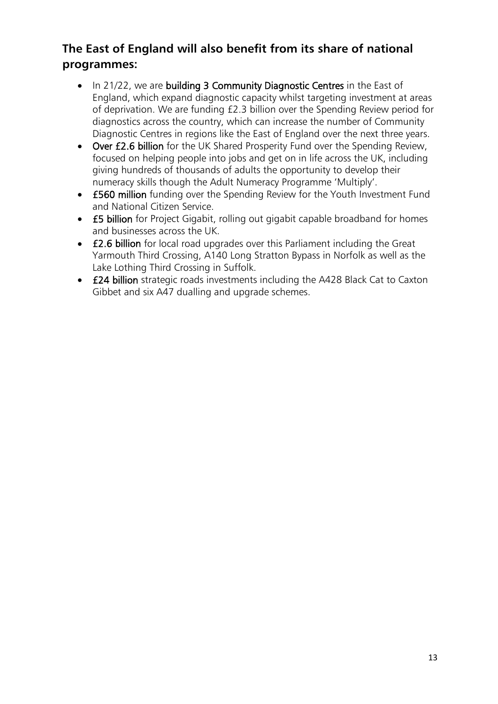### **The East of England will also benefit from its share of national programmes:**

- In 21/22, we are building 3 Community Diagnostic Centres in the East of England, which expand diagnostic capacity whilst targeting investment at areas of deprivation. We are funding £2.3 billion over the Spending Review period for diagnostics across the country, which can increase the number of Community Diagnostic Centres in regions like the East of England over the next three years.
- Over £2.6 billion for the UK Shared Prosperity Fund over the Spending Review, focused on helping people into jobs and get on in life across the UK, including giving hundreds of thousands of adults the opportunity to develop their numeracy skills though the Adult Numeracy Programme 'Multiply'.
- £560 million funding over the Spending Review for the Youth Investment Fund and National Citizen Service.
- **£5 billion** for Project Gigabit, rolling out gigabit capable broadband for homes and businesses across the UK.
- £2.6 billion for local road upgrades over this Parliament including the Great Yarmouth Third Crossing, A140 Long Stratton Bypass in Norfolk as well as the Lake Lothing Third Crossing in Suffolk.
- £24 billion strategic roads investments including the A428 Black Cat to Caxton Gibbet and six A47 dualling and upgrade schemes.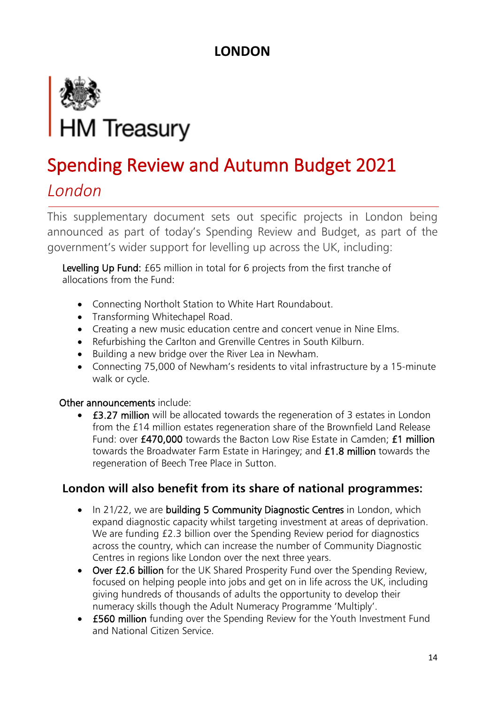### **LONDON**



# Spending Review and Autumn Budget 2021

### *London*

This supplementary document sets out specific projects in London being announced as part of today's Spending Review and Budget, as part of the government's wider support for levelling up across the UK, including:

Levelling Up Fund: £65 million in total for 6 projects from the first tranche of allocations from the Fund:

- Connecting Northolt Station to White Hart Roundabout.
- Transforming Whitechapel Road.
- Creating a new music education centre and concert venue in Nine Elms.
- Refurbishing the Carlton and Grenville Centres in South Kilburn.
- Building a new bridge over the River Lea in Newham.
- Connecting 75,000 of Newham's residents to vital infrastructure by a 15-minute walk or cycle.

#### Other announcements include:

• £3.27 million will be allocated towards the regeneration of 3 estates in London from the £14 million estates regeneration share of the Brownfield Land Release Fund: over £470,000 towards the Bacton Low Rise Estate in Camden; £1 million towards the Broadwater Farm Estate in Haringey; and £1.8 million towards the regeneration of Beech Tree Place in Sutton.

### **London will also benefit from its share of national programmes:**

- In 21/22, we are building 5 Community Diagnostic Centres in London, which expand diagnostic capacity whilst targeting investment at areas of deprivation. We are funding £2.3 billion over the Spending Review period for diagnostics across the country, which can increase the number of Community Diagnostic Centres in regions like London over the next three years.
- Over £2.6 billion for the UK Shared Prosperity Fund over the Spending Review, focused on helping people into jobs and get on in life across the UK, including giving hundreds of thousands of adults the opportunity to develop their numeracy skills though the Adult Numeracy Programme 'Multiply'.
- £560 million funding over the Spending Review for the Youth Investment Fund and National Citizen Service.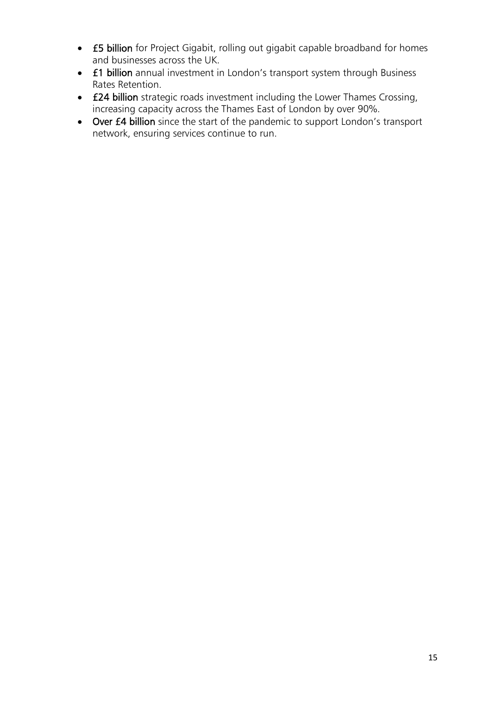- £5 billion for Project Gigabit, rolling out gigabit capable broadband for homes and businesses across the UK.
- £1 billion annual investment in London's transport system through Business Rates Retention.
- £24 billion strategic roads investment including the Lower Thames Crossing, increasing capacity across the Thames East of London by over 90%.
- Over £4 billion since the start of the pandemic to support London's transport network, ensuring services continue to run.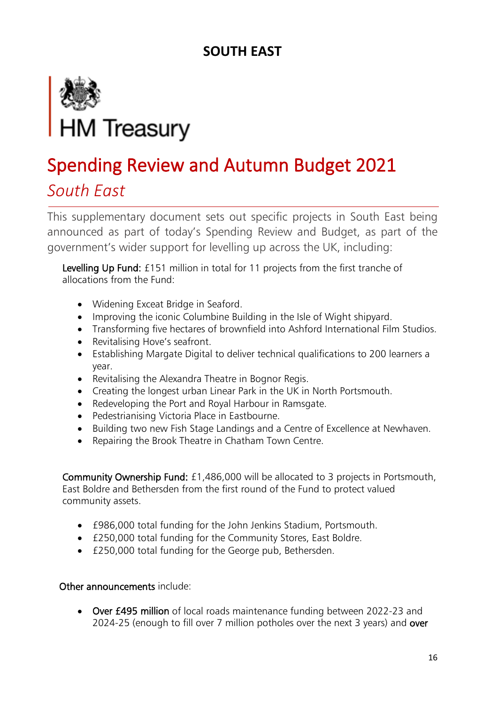

### *South East*

This supplementary document sets out specific projects in South East being announced as part of today's Spending Review and Budget, as part of the government's wider support for levelling up across the UK, including:

Levelling Up Fund: £151 million in total for 11 projects from the first tranche of allocations from the Fund:

- Widening Exceat Bridge in Seaford.
- Improving the iconic Columbine Building in the Isle of Wight shipyard.
- Transforming five hectares of brownfield into Ashford International Film Studios.
- Revitalising Hove's seafront.
- Establishing Margate Digital to deliver technical qualifications to 200 learners a year.
- Revitalising the Alexandra Theatre in Bognor Regis.
- Creating the longest urban Linear Park in the UK in North Portsmouth.
- Redeveloping the Port and Royal Harbour in Ramsgate.
- Pedestrianising Victoria Place in Eastbourne.
- Building two new Fish Stage Landings and a Centre of Excellence at Newhaven.
- Repairing the Brook Theatre in Chatham Town Centre.

Community Ownership Fund: £1,486,000 will be allocated to 3 projects in Portsmouth, East Boldre and Bethersden from the first round of the Fund to protect valued community assets.

- £986,000 total funding for the John Jenkins Stadium, Portsmouth.
- £250,000 total funding for the Community Stores, East Boldre.
- £250,000 total funding for the George pub, Bethersden.

#### Other announcements include:

• Over £495 million of local roads maintenance funding between 2022-23 and 2024-25 (enough to fill over 7 million potholes over the next 3 years) and over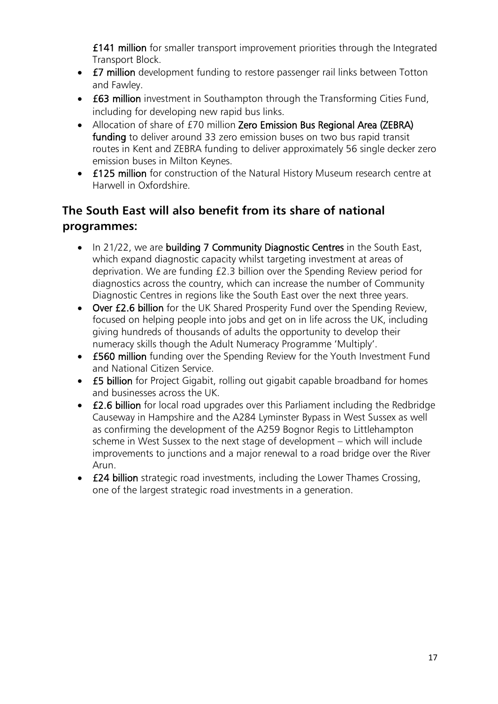£141 million for smaller transport improvement priorities through the Integrated Transport Block.

- **£7 million** development funding to restore passenger rail links between Totton and Fawley.
- £63 million investment in Southampton through the Transforming Cities Fund, including for developing new rapid bus links.
- Allocation of share of £70 million Zero Emission Bus Regional Area (ZEBRA) funding to deliver around 33 zero emission buses on two bus rapid transit routes in Kent and ZEBRA funding to deliver approximately 56 single decker zero emission buses in Milton Keynes.
- £125 million for construction of the Natural History Museum research centre at Harwell in Oxfordshire.

### **The South East will also benefit from its share of national programmes:**

- In 21/22, we are building 7 Community Diagnostic Centres in the South East, which expand diagnostic capacity whilst targeting investment at areas of deprivation. We are funding £2.3 billion over the Spending Review period for diagnostics across the country, which can increase the number of Community Diagnostic Centres in regions like the South East over the next three years.
- Over £2.6 billion for the UK Shared Prosperity Fund over the Spending Review, focused on helping people into jobs and get on in life across the UK, including giving hundreds of thousands of adults the opportunity to develop their numeracy skills though the Adult Numeracy Programme 'Multiply'.
- £560 million funding over the Spending Review for the Youth Investment Fund and National Citizen Service.
- **£5 billion** for Project Gigabit, rolling out gigabit capable broadband for homes and businesses across the UK.
- £2.6 billion for local road upgrades over this Parliament including the Redbridge Causeway in Hampshire and the A284 Lyminster Bypass in West Sussex as well as confirming the development of the A259 Bognor Regis to Littlehampton scheme in West Sussex to the next stage of development – which will include improvements to junctions and a major renewal to a road bridge over the River Arun.
- **£24 billion** strategic road investments, including the Lower Thames Crossing, one of the largest strategic road investments in a generation.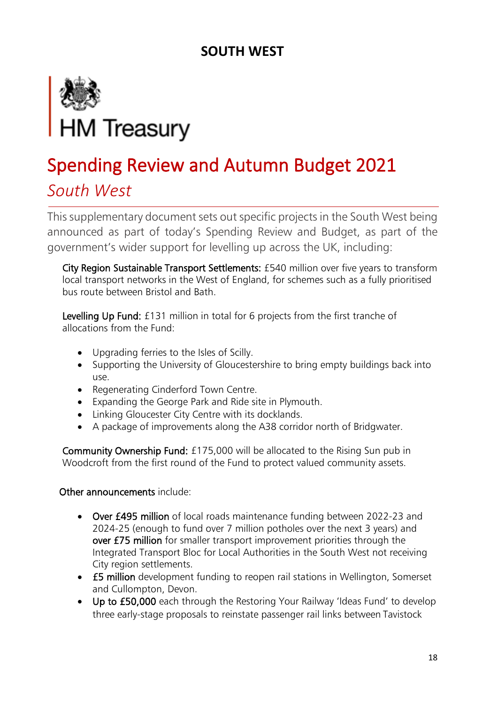

### *South West*

This supplementary document sets out specific projects in the South West being announced as part of today's Spending Review and Budget, as part of the government's wider support for levelling up across the UK, including:

City Region Sustainable Transport Settlements: £540 million over five years to transform local transport networks in the West of England, for schemes such as a fully prioritised bus route between Bristol and Bath.

Levelling Up Fund: £131 million in total for 6 projects from the first tranche of allocations from the Fund:

- Upgrading ferries to the Isles of Scilly.
- Supporting the University of Gloucestershire to bring empty buildings back into use.
- Regenerating Cinderford Town Centre.
- Expanding the George Park and Ride site in Plymouth.
- Linking Gloucester City Centre with its docklands.
- A package of improvements along the A38 corridor north of Bridgwater.

Community Ownership Fund: £175,000 will be allocated to the Rising Sun pub in Woodcroft from the first round of the Fund to protect valued community assets.

- Over £495 million of local roads maintenance funding between 2022-23 and 2024-25 (enough to fund over 7 million potholes over the next 3 years) and over £75 million for smaller transport improvement priorities through the Integrated Transport Bloc for Local Authorities in the South West not receiving City region settlements.
- £5 million development funding to reopen rail stations in Wellington, Somerset and Cullompton, Devon.
- Up to £50,000 each through the Restoring Your Railway 'Ideas Fund' to develop three early-stage proposals to reinstate passenger rail links between Tavistock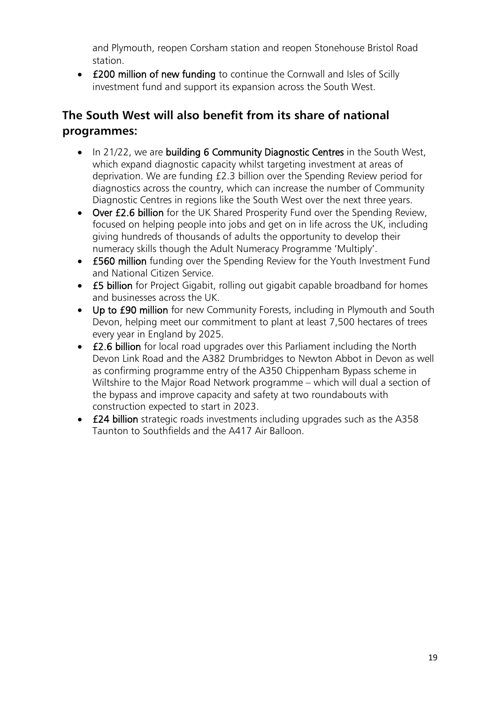and Plymouth, reopen Corsham station and reopen Stonehouse Bristol Road station.

• **£200 million of new funding** to continue the Cornwall and Isles of Scilly investment fund and support its expansion across the South West.

### **The South West will also benefit from its share of national programmes:**

- In 21/22, we are building 6 Community Diagnostic Centres in the South West, which expand diagnostic capacity whilst targeting investment at areas of deprivation. We are funding £2.3 billion over the Spending Review period for diagnostics across the country, which can increase the number of Community Diagnostic Centres in regions like the South West over the next three years.
- Over £2.6 billion for the UK Shared Prosperity Fund over the Spending Review, focused on helping people into jobs and get on in life across the UK, including giving hundreds of thousands of adults the opportunity to develop their numeracy skills though the Adult Numeracy Programme 'Multiply'.
- £560 million funding over the Spending Review for the Youth Investment Fund and National Citizen Service.
- **£5 billion** for Project Gigabit, rolling out gigabit capable broadband for homes and businesses across the UK.
- Up to £90 million for new Community Forests, including in Plymouth and South Devon, helping meet our commitment to plant at least 7,500 hectares of trees every year in England by 2025.
- £2.6 billion for local road upgrades over this Parliament including the North Devon Link Road and the A382 Drumbridges to Newton Abbot in Devon as well as confirming programme entry of the A350 Chippenham Bypass scheme in Wiltshire to the Major Road Network programme – which will dual a section of the bypass and improve capacity and safety at two roundabouts with construction expected to start in 2023.
- £24 billion strategic roads investments including upgrades such as the A358 Taunton to Southfields and the A417 Air Balloon.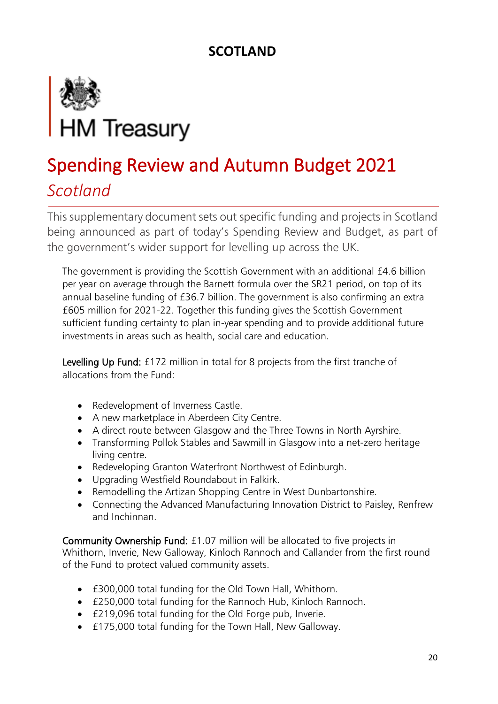### **SCOTLAND**



## Spending Review and Autumn Budget 2021 *Scotland*

This supplementary document sets out specific funding and projects in Scotland being announced as part of today's Spending Review and Budget, as part of the government's wider support for levelling up across the UK.

The government is providing the Scottish Government with an additional £4.6 billion per year on average through the Barnett formula over the SR21 period, on top of its annual baseline funding of £36.7 billion. The government is also confirming an extra £605 million for 2021-22. Together this funding gives the Scottish Government sufficient funding certainty to plan in-year spending and to provide additional future investments in areas such as health, social care and education.

Levelling Up Fund: £172 million in total for 8 projects from the first tranche of allocations from the Fund:

- Redevelopment of Inverness Castle.
- A new marketplace in Aberdeen City Centre.
- A direct route between Glasgow and the Three Towns in North Ayrshire.
- Transforming Pollok Stables and Sawmill in Glasgow into a net-zero heritage living centre.
- Redeveloping Granton Waterfront Northwest of Edinburgh.
- Upgrading Westfield Roundabout in Falkirk.
- Remodelling the Artizan Shopping Centre in West Dunbartonshire.
- Connecting the Advanced Manufacturing Innovation District to Paisley, Renfrew and Inchinnan.

Community Ownership Fund: £1.07 million will be allocated to five projects in Whithorn, Inverie, New Galloway, Kinloch Rannoch and Callander from the first round of the Fund to protect valued community assets.

- £300,000 total funding for the Old Town Hall, Whithorn.
- £250,000 total funding for the Rannoch Hub, Kinloch Rannoch.
- £219,096 total funding for the Old Forge pub, Inverie.
- £175,000 total funding for the Town Hall, New Galloway.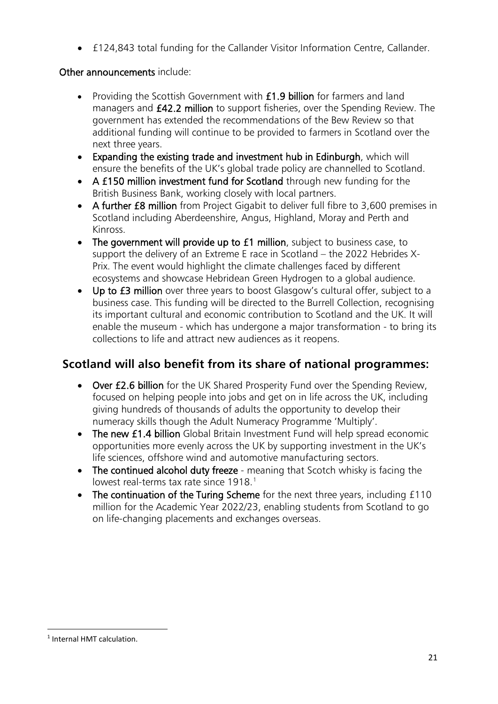• £124,843 total funding for the Callander Visitor Information Centre, Callander.

### Other announcements include:

- Providing the Scottish Government with **£1.9 billion** for farmers and land managers and £42.2 million to support fisheries, over the Spending Review. The government has extended the recommendations of the Bew Review so that additional funding will continue to be provided to farmers in Scotland over the next three years.
- Expanding the existing trade and investment hub in Edinburgh, which will ensure the benefits of the UK's global trade policy are channelled to Scotland.
- A £150 million investment fund for Scotland through new funding for the British Business Bank, working closely with local partners.
- A further £8 million from Project Gigabit to deliver full fibre to 3,600 premises in Scotland including Aberdeenshire, Angus, Highland, Moray and Perth and Kinross.
- The government will provide up to £1 million, subject to business case, to support the delivery of an Extreme E race in Scotland – the 2022 Hebrides X-Prix. The event would highlight the climate challenges faced by different ecosystems and showcase Hebridean Green Hydrogen to a global audience.
- Up to £3 million over three years to boost Glasgow's cultural offer, subject to a business case. This funding will be directed to the Burrell Collection, recognising its important cultural and economic contribution to Scotland and the UK. It will enable the museum - which has undergone a major transformation - to bring its collections to life and attract new audiences as it reopens.

### **Scotland will also benefit from its share of national programmes:**

- Over £2.6 billion for the UK Shared Prosperity Fund over the Spending Review, focused on helping people into jobs and get on in life across the UK, including giving hundreds of thousands of adults the opportunity to develop their numeracy skills though the Adult Numeracy Programme 'Multiply'.
- The new £1.4 billion Global Britain Investment Fund will help spread economic opportunities more evenly across the UK by supporting investment in the UK's life sciences, offshore wind and automotive manufacturing sectors.
- The continued alcohol duty freeze meaning that Scotch whisky is facing the lowest real-terms tax rate since [1](#page-20-0)918.<sup>1</sup>
- The continuation of the Turing Scheme for the next three years, including £110 million for the Academic Year 2022/23, enabling students from Scotland to go on life-changing placements and exchanges overseas.

<span id="page-20-0"></span><sup>1</sup> Internal HMT calculation.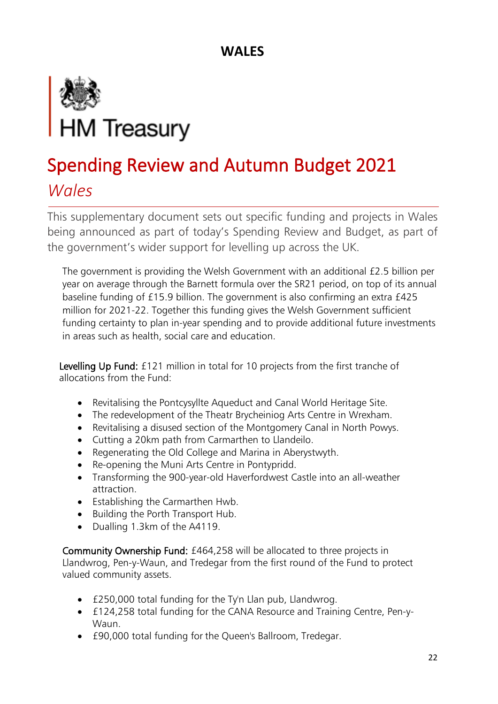

*Wales* 

This supplementary document sets out specific funding and projects in Wales being announced as part of today's Spending Review and Budget, as part of the government's wider support for levelling up across the UK.

The government is providing the Welsh Government with an additional £2.5 billion per year on average through the Barnett formula over the SR21 period, on top of its annual baseline funding of £15.9 billion. The government is also confirming an extra £425 million for 2021-22. Together this funding gives the Welsh Government sufficient funding certainty to plan in-year spending and to provide additional future investments in areas such as health, social care and education.

Levelling Up Fund: £121 million in total for 10 projects from the first tranche of allocations from the Fund:

- Revitalising the Pontcysyllte Aqueduct and Canal World Heritage Site.
- The redevelopment of the Theatr Brycheiniog Arts Centre in Wrexham.
- Revitalising a disused section of the Montgomery Canal in North Powys.
- Cutting a 20km path from Carmarthen to Llandeilo.
- Regenerating the Old College and Marina in Aberystwyth.
- Re-opening the Muni Arts Centre in Pontypridd.
- Transforming the 900-year-old Haverfordwest Castle into an all-weather attraction.
- Establishing the Carmarthen Hwb.
- Building the Porth Transport Hub.
- Dualling 1.3km of the A4119.

Community Ownership Fund: £464,258 will be allocated to three projects in Llandwrog, Pen-y-Waun, and Tredegar from the first round of the Fund to protect valued community assets.

- £250,000 total funding for the Ty'n Llan pub, Llandwrog.
- £124,258 total funding for the CANA Resource and Training Centre, Pen-y-Waun.
- £90,000 total funding for the Queen's Ballroom, Tredegar.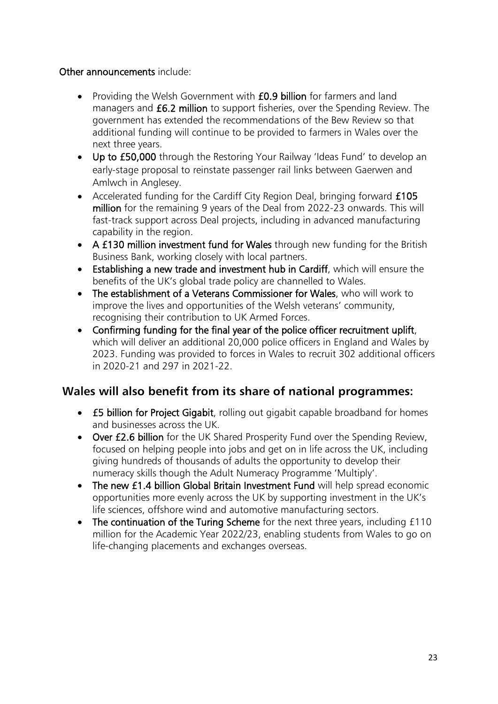#### Other announcements include:

- Providing the Welsh Government with **£0.9 billion** for farmers and land managers and £6.2 million to support fisheries, over the Spending Review. The government has extended the recommendations of the Bew Review so that additional funding will continue to be provided to farmers in Wales over the next three years.
- Up to £50,000 through the Restoring Your Railway 'Ideas Fund' to develop an early-stage proposal to reinstate passenger rail links between Gaerwen and Amlwch in Anglesey.
- Accelerated funding for the Cardiff City Region Deal, bringing forward £105 million for the remaining 9 years of the Deal from 2022-23 onwards. This will fast-track support across Deal projects, including in advanced manufacturing capability in the region.
- A £130 million investment fund for Wales through new funding for the British Business Bank, working closely with local partners.
- Establishing a new trade and investment hub in Cardiff, which will ensure the benefits of the UK's global trade policy are channelled to Wales.
- The establishment of a Veterans Commissioner for Wales, who will work to improve the lives and opportunities of the Welsh veterans' community, recognising their contribution to UK Armed Forces.
- Confirming funding for the final year of the police officer recruitment uplift, which will deliver an additional 20,000 police officers in England and Wales by 2023. Funding was provided to forces in Wales to recruit 302 additional officers in 2020-21 and 297 in 2021-22.

### **Wales will also benefit from its share of national programmes:**

- **£5 billion for Project Gigabit**, rolling out gigabit capable broadband for homes and businesses across the UK.
- Over £2.6 billion for the UK Shared Prosperity Fund over the Spending Review, focused on helping people into jobs and get on in life across the UK, including giving hundreds of thousands of adults the opportunity to develop their numeracy skills though the Adult Numeracy Programme 'Multiply'.
- The new £1.4 billion Global Britain Investment Fund will help spread economic opportunities more evenly across the UK by supporting investment in the UK's life sciences, offshore wind and automotive manufacturing sectors.
- The continuation of the Turing Scheme for the next three years, including £110 million for the Academic Year 2022/23, enabling students from Wales to go on life-changing placements and exchanges overseas.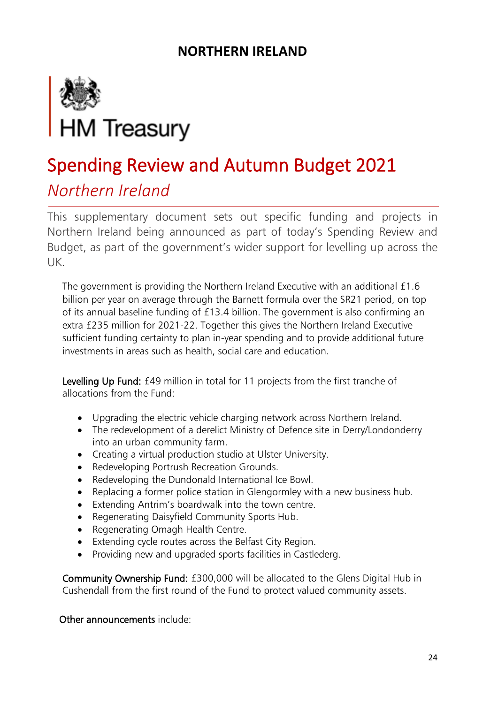

### *Northern Ireland*

This supplementary document sets out specific funding and projects in Northern Ireland being announced as part of today's Spending Review and Budget, as part of the government's wider support for levelling up across the UK.

The government is providing the Northern Ireland Executive with an additional £1.6 billion per year on average through the Barnett formula over the SR21 period, on top of its annual baseline funding of £13.4 billion. The government is also confirming an extra £235 million for 2021-22. Together this gives the Northern Ireland Executive sufficient funding certainty to plan in-year spending and to provide additional future investments in areas such as health, social care and education.

Levelling Up Fund: £49 million in total for 11 projects from the first tranche of allocations from the Fund:

- Upgrading the electric vehicle charging network across Northern Ireland.
- The redevelopment of a derelict Ministry of Defence site in Derry/Londonderry into an urban community farm.
- Creating a virtual production studio at Ulster University.
- Redeveloping Portrush Recreation Grounds.
- Redeveloping the Dundonald International Ice Bowl.
- Replacing a former police station in Glengormley with a new business hub.
- Extending Antrim's boardwalk into the town centre.
- Regenerating Daisyfield Community Sports Hub.
- Regenerating Omagh Health Centre.
- Extending cycle routes across the Belfast City Region.
- Providing new and upgraded sports facilities in Castlederg.

Community Ownership Fund: £300,000 will be allocated to the Glens Digital Hub in Cushendall from the first round of the Fund to protect valued community assets.